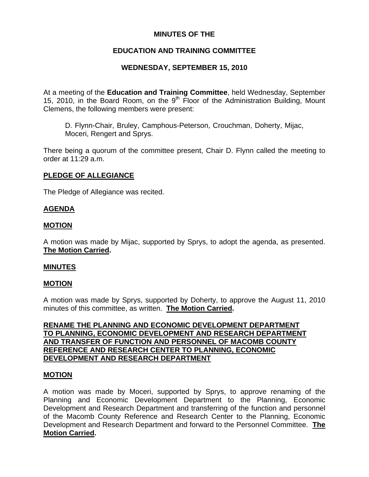## **MINUTES OF THE**

# **EDUCATION AND TRAINING COMMITTEE**

# **WEDNESDAY, SEPTEMBER 15, 2010**

At a meeting of the **Education and Training Committee**, held Wednesday, September 15, 2010, in the Board Room, on the  $9<sup>th</sup>$  Floor of the Administration Building, Mount Clemens, the following members were present:

D. Flynn-Chair, Bruley, Camphous-Peterson, Crouchman, Doherty, Mijac, Moceri, Rengert and Sprys.

There being a quorum of the committee present, Chair D. Flynn called the meeting to order at 11:29 a.m.

## **PLEDGE OF ALLEGIANCE**

The Pledge of Allegiance was recited.

### **AGENDA**

### **MOTION**

A motion was made by Mijac, supported by Sprys, to adopt the agenda, as presented. **The Motion Carried.** 

### **MINUTES**

### **MOTION**

A motion was made by Sprys, supported by Doherty, to approve the August 11, 2010 minutes of this committee, as written. **The Motion Carried.** 

**RENAME THE PLANNING AND ECONOMIC DEVELOPMENT DEPARTMENT TO PLANNING, ECONOMIC DEVELOPMENT AND RESEARCH DEPARTMENT AND TRANSFER OF FUNCTION AND PERSONNEL OF MACOMB COUNTY REFERENCE AND RESEARCH CENTER TO PLANNING, ECONOMIC DEVELOPMENT AND RESEARCH DEPARTMENT**

### **MOTION**

A motion was made by Moceri, supported by Sprys, to approve renaming of the Planning and Economic Development Department to the Planning, Economic Development and Research Department and transferring of the function and personnel of the Macomb County Reference and Research Center to the Planning, Economic Development and Research Department and forward to the Personnel Committee. **The Motion Carried.**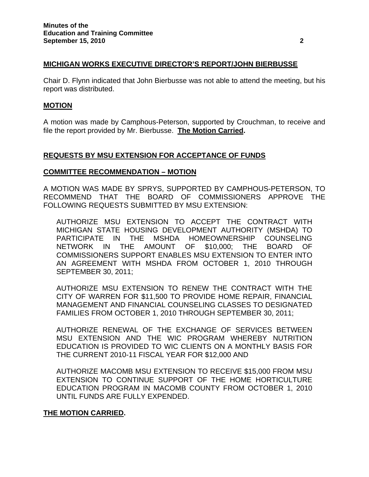### **MICHIGAN WORKS EXECUTIVE DIRECTOR'S REPORT/JOHN BIERBUSSE**

Chair D. Flynn indicated that John Bierbusse was not able to attend the meeting, but his report was distributed.

#### **MOTION**

A motion was made by Camphous-Peterson, supported by Crouchman, to receive and file the report provided by Mr. Bierbusse. **The Motion Carried.** 

### **REQUESTS BY MSU EXTENSION FOR ACCEPTANCE OF FUNDS**

### **COMMITTEE RECOMMENDATION – MOTION**

A MOTION WAS MADE BY SPRYS, SUPPORTED BY CAMPHOUS-PETERSON, TO RECOMMEND THAT THE BOARD OF COMMISSIONERS APPROVE THE FOLLOWING REQUESTS SUBMITTED BY MSU EXTENSION:

AUTHORIZE MSU EXTENSION TO ACCEPT THE CONTRACT WITH MICHIGAN STATE HOUSING DEVELOPMENT AUTHORITY (MSHDA) TO PARTICIPATE IN THE MSHDA HOMEOWNERSHIP COUNSELING NETWORK IN THE AMOUNT OF \$10,000; THE BOARD OF COMMISSIONERS SUPPORT ENABLES MSU EXTENSION TO ENTER INTO AN AGREEMENT WITH MSHDA FROM OCTOBER 1, 2010 THROUGH SEPTEMBER 30, 2011;

AUTHORIZE MSU EXTENSION TO RENEW THE CONTRACT WITH THE CITY OF WARREN FOR \$11,500 TO PROVIDE HOME REPAIR, FINANCIAL MANAGEMENT AND FINANCIAL COUNSELING CLASSES TO DESIGNATED FAMILIES FROM OCTOBER 1, 2010 THROUGH SEPTEMBER 30, 2011;

AUTHORIZE RENEWAL OF THE EXCHANGE OF SERVICES BETWEEN MSU EXTENSION AND THE WIC PROGRAM WHEREBY NUTRITION EDUCATION IS PROVIDED TO WIC CLIENTS ON A MONTHLY BASIS FOR THE CURRENT 2010-11 FISCAL YEAR FOR \$12,000 AND

AUTHORIZE MACOMB MSU EXTENSION TO RECEIVE \$15,000 FROM MSU EXTENSION TO CONTINUE SUPPORT OF THE HOME HORTICULTURE EDUCATION PROGRAM IN MACOMB COUNTY FROM OCTOBER 1, 2010 UNTIL FUNDS ARE FULLY EXPENDED.

### **THE MOTION CARRIED.**